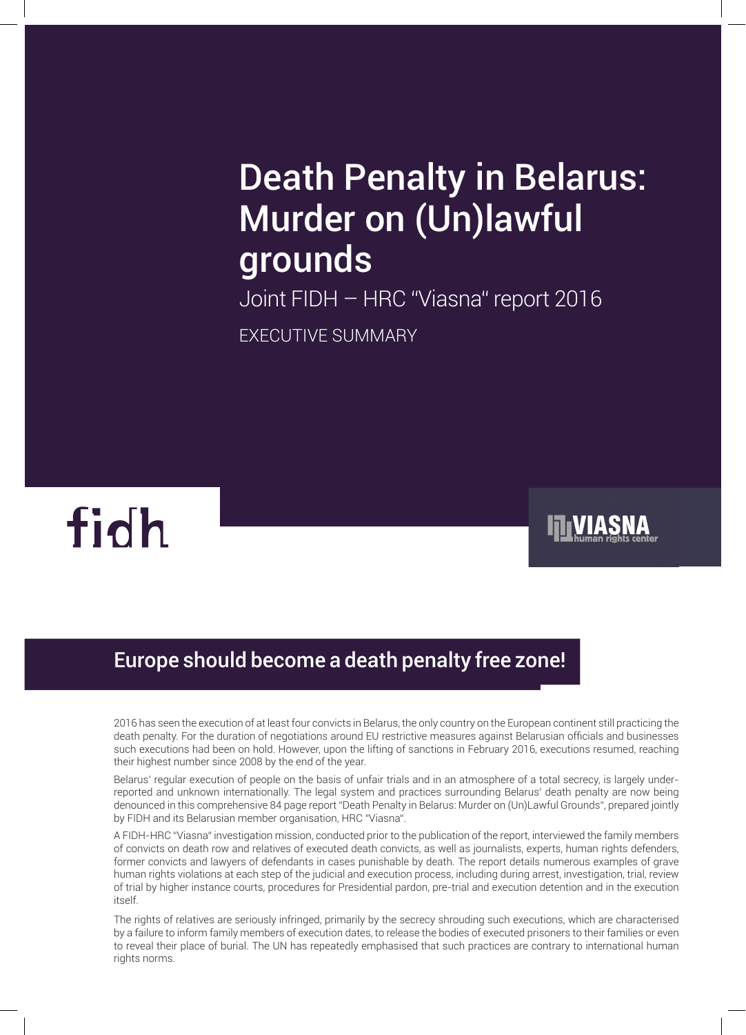# Death Penalty in Belarus: Murder on (Un)lawful grounds

Joint FIDH – HRC "Viasna" report 2016 EXECUTIVE SUMMARY



# Europe should become a death penalty free zone!

2016 has seen the execution of at least four convicts in Belarus, the only country on the European continent still practicing the death penalty. For the duration of negotiations around EU restrictive measures against Belarusian officials and businesses such executions had been on hold. However, upon the lifting of sanctions in February 2016, executions resumed, reaching their highest number since 2008 by the end of the year.

Belarus' regular execution of people on the basis of unfair trials and in an atmosphere of a total secrecy, is largely underreported and unknown internationally. The legal system and practices surrounding Belarus' death penalty are now being denounced in this comprehensive 84 page report "Death Penalty in Belarus: Murder on (Un)Lawful Grounds", prepared jointly by FIDH and its Belarusian member organisation, HRC "Viasna".

A FIDH-HRC "Viasna" investigation mission, conducted prior to the publication of the report, interviewed the family members of convicts on death row and relatives of executed death convicts, as well as journalists, experts, human rights defenders, former convicts and lawyers of defendants in cases punishable by death. The report details numerous examples of grave human rights violations at each step of the judicial and execution process, including during arrest, investigation, trial, review of trial by higher instance courts, procedures for Presidential pardon, pre-trial and execution detention and in the execution itself.

The rights of relatives are seriously infringed, primarily by the secrecy shrouding such executions, which are characterised by a failure to inform family members of execution dates, to release the bodies of executed prisoners to their families or even to reveal their place of burial. The UN has repeatedly emphasised that such practices are contrary to international human rights norms.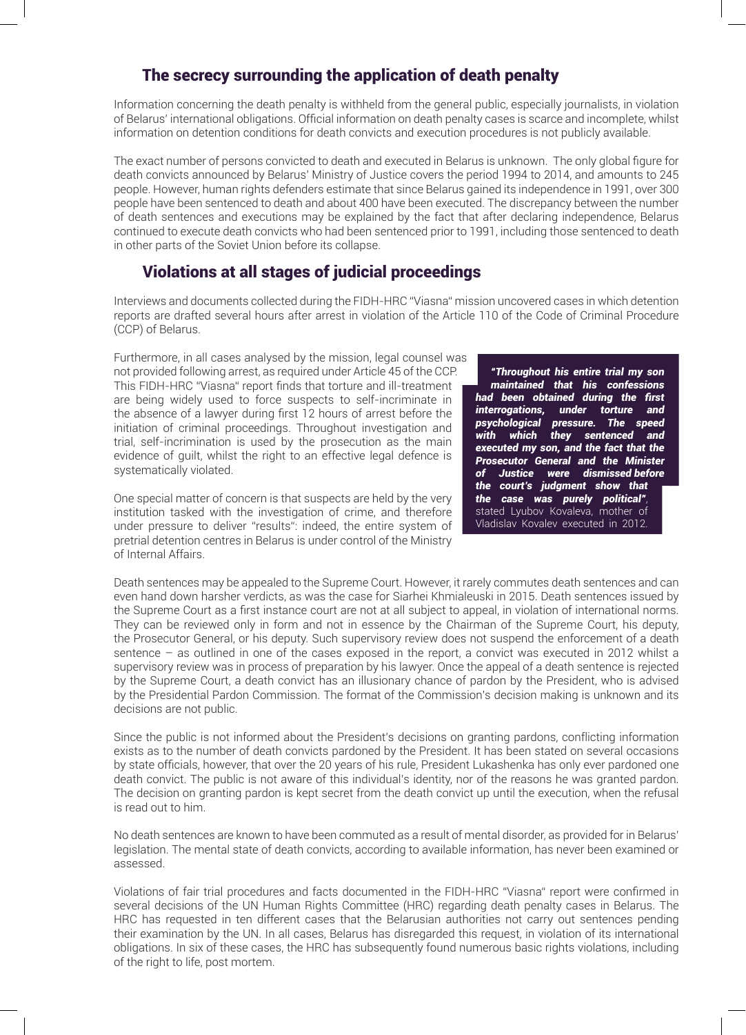### The secrecy surrounding the application of death penalty

Information concerning the death penalty is withheld from the general public, especially journalists, in violation of Belarus' international obligations. Official information on death penalty cases is scarce and incomplete, whilst information on detention conditions for death convicts and execution procedures is not publicly available.

The exact number of persons convicted to death and executed in Belarus is unknown. The only global figure for death convicts announced by Belarus' Ministry of Justice covers the period 1994 to 2014, and amounts to 245 people. However, human rights defenders estimate that since Belarus gained its independence in 1991, over 300 people have been sentenced to death and about 400 have been executed. The discrepancy between the number of death sentences and executions may be explained by the fact that after declaring independence, Belarus continued to execute death convicts who had been sentenced prior to 1991, including those sentenced to death in other parts of the Soviet Union before its collapse.

# Violations at all stages of judicial proceedings

Interviews and documents collected during the FIDH-HRC "Viasna" mission uncovered cases in which detention reports are drafted several hours after arrest in violation of the Article 110 of the Code of Criminal Procedure (CCP) of Belarus.

Furthermore, in all cases analysed by the mission, legal counsel was not provided following arrest, as required under Article 45 of the CCP. This FIDH-HRC "Viasna" report finds that torture and ill-treatment are being widely used to force suspects to self-incriminate in the absence of a lawyer during first 12 hours of arrest before the initiation of criminal proceedings. Throughout investigation and trial, self-incrimination is used by the prosecution as the main evidence of guilt, whilst the right to an effective legal defence is systematically violated.

One special matter of concern is that suspects are held by the very institution tasked with the investigation of crime, and therefore under pressure to deliver "results": indeed, the entire system of pretrial detention centres in Belarus is under control of the Ministry of Internal Affairs.

*"Throughout his entire trial my son maintained that his confessions had been obtained during the first interrogations, under torture and psychological pressure. The speed with which they sentenced and executed my son, and the fact that the Prosecutor General and the Minister of Justice were dismissed before the court's judgment show that the case was purely political"*, stated Lyubov Kovaleva, mother of Vladislav Kovalev executed in 2012.

Death sentences may be appealed to the Supreme Court. However, it rarely commutes death sentences and can even hand down harsher verdicts, as was the case for Siarhei Khmialeuski in 2015. Death sentences issued by the Supreme Court as a first instance court are not at all subject to appeal, in violation of international norms. They can be reviewed only in form and not in essence by the Chairman of the Supreme Court, his deputy, the Prosecutor General, or his deputy. Such supervisory review does not suspend the enforcement of a death sentence – as outlined in one of the cases exposed in the report, a convict was executed in 2012 whilst a supervisory review was in process of preparation by his lawyer. Once the appeal of a death sentence is rejected by the Supreme Court, a death convict has an illusionary chance of pardon by the President, who is advised by the Presidential Pardon Commission. The format of the Commission's decision making is unknown and its decisions are not public.

Since the public is not informed about the President's decisions on granting pardons, conflicting information exists as to the number of death convicts pardoned by the President. It has been stated on several occasions by state officials, however, that over the 20 years of his rule, President Lukashenka has only ever pardoned one death convict. The public is not aware of this individual's identity, nor of the reasons he was granted pardon. The decision on granting pardon is kept secret from the death convict up until the execution, when the refusal is read out to him.

No death sentences are known to have been commuted as a result of mental disorder, as provided for in Belarus' legislation. The mental state of death convicts, according to available information, has never been examined or assessed.

Violations of fair trial procedures and facts documented in the FIDH-HRC "Viasna" report were confirmed in several decisions of the UN Human Rights Committee (HRC) regarding death penalty cases in Belarus. The HRC has requested in ten different cases that the Belarusian authorities not carry out sentences pending their examination by the UN. In all cases, Belarus has disregarded this request, in violation of its international obligations. In six of these cases, the HRC has subsequently found numerous basic rights violations, including of the right to life, post mortem.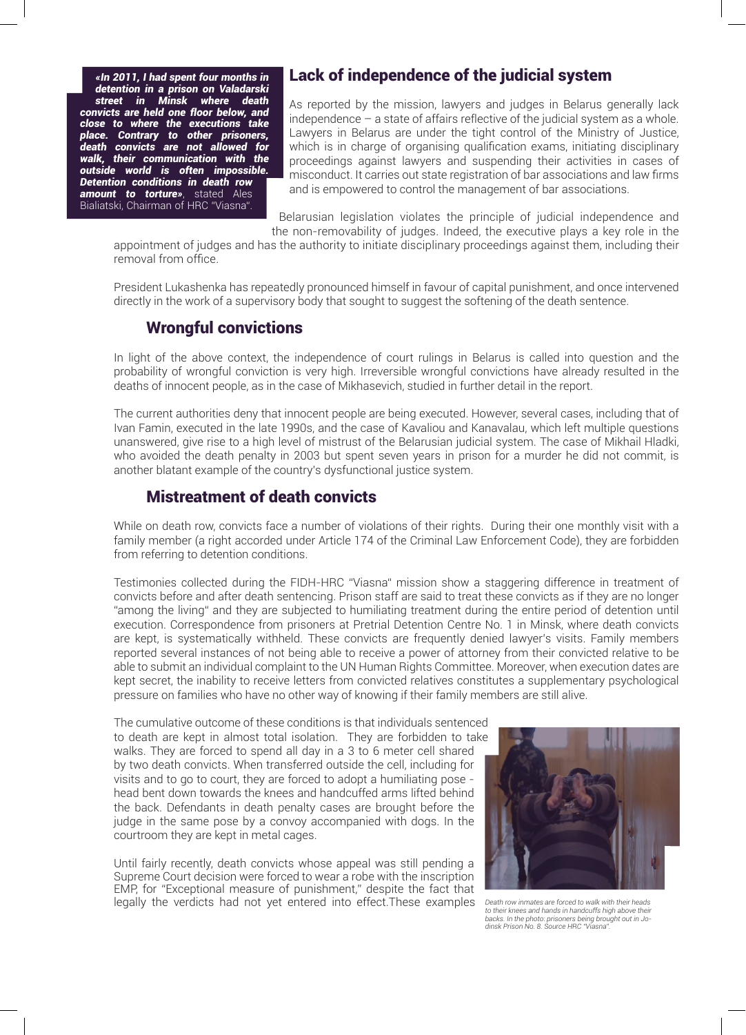*«In 2011, I had spent four months in detention in a prison on Valadarski street in Minsk where death convicts are held one floor below, and close to where the executions take place. Contrary to other prisoners, death convicts are not allowed for walk, their communication with the outside world is often impossible. Detention conditions in death row amount to torture»*, stated Ales Bialiatski, Chairman of HRC "Viasna".

#### Lack of independence of the judicial system

As reported by the mission, lawyers and judges in Belarus generally lack independence – a state of affairs reflective of the judicial system as a whole. Lawyers in Belarus are under the tight control of the Ministry of Justice, which is in charge of organising qualification exams, initiating disciplinary proceedings against lawyers and suspending their activities in cases of misconduct. It carries out state registration of bar associations and law firms and is empowered to control the management of bar associations.

 Belarusian legislation violates the principle of judicial independence and the non-removability of judges. Indeed, the executive plays a key role in the

appointment of judges and has the authority to initiate disciplinary proceedings against them, including their removal from office.

President Lukashenka has repeatedly pronounced himself in favour of capital punishment, and once intervened directly in the work of a supervisory body that sought to suggest the softening of the death sentence.

#### Wrongful convictions

In light of the above context, the independence of court rulings in Belarus is called into question and the probability of wrongful conviction is very high. Irreversible wrongful convictions have already resulted in the deaths of innocent people, as in the case of Mikhasevich, studied in further detail in the report.

The current authorities deny that innocent people are being executed. However, several cases, including that of Ivan Famin, executed in the late 1990s, and the case of Kavaliou and Kanavalau, which left multiple questions unanswered, give rise to a high level of mistrust of the Belarusian judicial system. The case of Mikhail Hladki, who avoided the death penalty in 2003 but spent seven years in prison for a murder he did not commit, is another blatant example of the country's dysfunctional justice system.

#### Mistreatment of death convicts

While on death row, convicts face a number of violations of their rights. During their one monthly visit with a family member (a right accorded under Article 174 of the Criminal Law Enforcement Code), they are forbidden from referring to detention conditions.

Testimonies collected during the FIDH-HRC "Viasna" mission show a staggering difference in treatment of convicts before and after death sentencing. Prison staff are said to treat these convicts as if they are no longer "among the living" and they are subjected to humiliating treatment during the entire period of detention until execution. Correspondence from prisoners at Pretrial Detention Centre No. 1 in Minsk, where death convicts are kept, is systematically withheld. These convicts are frequently denied lawyer's visits. Family members reported several instances of not being able to receive a power of attorney from their convicted relative to be able to submit an individual complaint to the UN Human Rights Committee. Moreover, when execution dates are kept secret, the inability to receive letters from convicted relatives constitutes a supplementary psychological pressure on families who have no other way of knowing if their family members are still alive.

The cumulative outcome of these conditions is that individuals sentenced to death are kept in almost total isolation. They are forbidden to take walks. They are forced to spend all day in a 3 to 6 meter cell shared by two death convicts. When transferred outside the cell, including for visits and to go to court, they are forced to adopt a humiliating pose head bent down towards the knees and handcuffed arms lifted behind the back. Defendants in death penalty cases are brought before the judge in the same pose by a convoy accompanied with dogs. In the courtroom they are kept in metal cages.

Until fairly recently, death convicts whose appeal was still pending a Supreme Court decision were forced to wear a robe with the inscription EMP, for "Exceptional measure of punishment," despite the fact that legally the verdicts had not yet entered into effect.These examples



*Death row inmates are forced to walk with their heads to their knees and hands in handcuffs high above their backs. In the photo: prisoners being brought out in Jodinsk Prison No. 8. Source HRC "Viasna".*